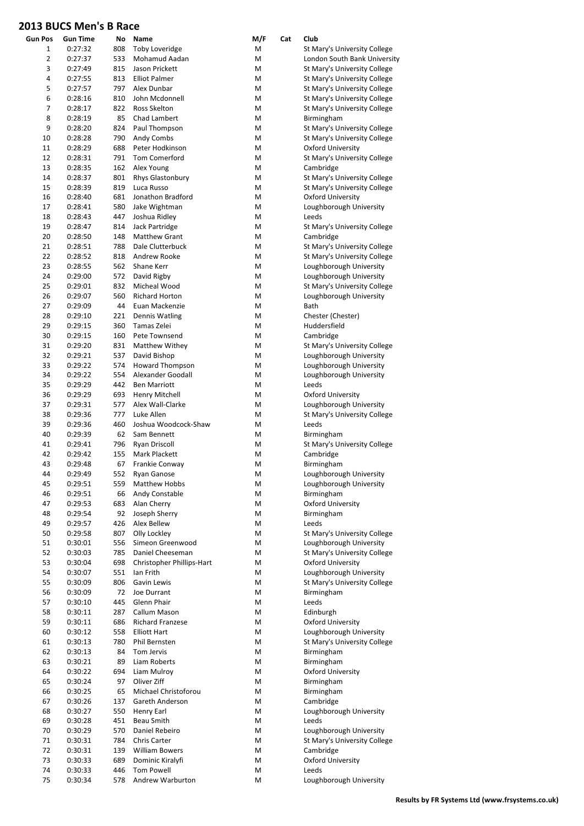| <b>Gun Pos</b> | Gun Time           | No         | Name                                 | M/F    | Cat | Club                                                    |
|----------------|--------------------|------------|--------------------------------------|--------|-----|---------------------------------------------------------|
| 1              | 0:27:32            | 808        | <b>Toby Loveridge</b>                | Μ      |     | St Mary's University College                            |
| 2              | 0:27:37            | 533        | Mohamud Aadan                        | Μ      |     | London South Bank University                            |
| 3              | 0:27:49            | 815        | Jason Prickett                       | Μ      |     | St Mary's University College                            |
| 4              | 0:27:55            | 813        | <b>Elliot Palmer</b>                 | Μ      |     | St Mary's University College                            |
| 5              | 0:27:57            | 797        | Alex Dunbar                          | Μ      |     | St Mary's University College                            |
| 6              | 0:28:16            | 810        | John Mcdonnell                       | Μ      |     | St Mary's University College                            |
| 7              | 0:28:17            | 822        | Ross Skelton                         | Μ      |     | St Mary's University College                            |
| 8<br>9         | 0:28:19<br>0:28:20 | 85<br>824  | Chad Lambert<br>Paul Thompson        | Μ<br>Μ |     | Birmingham<br>St Mary's University College              |
| 10             | 0:28:28            | 790        | Andy Combs                           | Μ      |     | St Mary's University College                            |
| 11             | 0:28:29            | 688        | Peter Hodkinson                      | Μ      |     | Oxford University                                       |
| 12             | 0:28:31            | 791        | Tom Comerford                        | M      |     | St Mary's University College                            |
| 13             | 0:28:35            | 162        | Alex Young                           | Μ      |     | Cambridge                                               |
| 14             | 0:28:37            | 801        | Rhys Glastonbury                     | Μ      |     | St Mary's University College                            |
| 15             | 0:28:39            | 819        | Luca Russo                           | M      |     | St Mary's University College                            |
| 16             | 0:28:40            | 681        | Jonathon Bradford                    | Μ      |     | <b>Oxford University</b>                                |
| 17             | 0:28:41            | 580        | Jake Wightman                        | Μ      |     | Loughborough University                                 |
| 18<br>19       | 0:28:43<br>0:28:47 | 447<br>814 | Joshua Ridley<br>Jack Partridge      | Μ<br>Μ |     | Leeds<br>St Mary's University College                   |
| 20             | 0:28:50            | 148        | <b>Matthew Grant</b>                 | Μ      |     | Cambridge                                               |
| 21             | 0:28:51            | 788        | Dale Clutterbuck                     | Μ      |     | St Mary's University College                            |
| 22             | 0:28:52            | 818        | Andrew Rooke                         | Μ      |     | St Mary's University College                            |
| 23             | 0:28:55            | 562        | Shane Kerr                           | Μ      |     | Loughborough University                                 |
| 24             | 0:29:00            | 572        | David Rigby                          | Μ      |     | Loughborough University                                 |
| 25             | 0:29:01            | 832        | Micheal Wood                         | Μ      |     | St Mary's University College                            |
| 26             | 0:29:07            | 560        | <b>Richard Horton</b>                | M      |     | Loughborough University                                 |
| 27             | 0:29:09            | 44         | Euan Mackenzie                       | Μ      |     | Bath                                                    |
| 28             | 0:29:10            | 221        | Dennis Watling                       | Μ      |     | Chester (Chester)                                       |
| 29<br>30       | 0:29:15<br>0:29:15 | 360<br>160 | Tamas Zelei<br>Pete Townsend         | M<br>Μ |     | Huddersfield<br>Cambridge                               |
| 31             | 0:29:20            | 831        | Matthew Withey                       | Μ      |     | St Mary's University College                            |
| 32             | 0:29:21            | 537        | David Bishop                         | Μ      |     | Loughborough University                                 |
| 33             | 0:29:22            | 574        | <b>Howard Thompson</b>               | Μ      |     | Loughborough University                                 |
| 34             | 0:29:22            | 554        | Alexander Goodall                    | Μ      |     | Loughborough University                                 |
| 35             | 0:29:29            | 442        | <b>Ben Marriott</b>                  | М      |     | Leeds                                                   |
| 36             | 0:29:29            | 693        | Henry Mitchell                       | Μ      |     | <b>Oxford University</b>                                |
| 37             | 0:29:31            | 577        | Alex Wall-Clarke                     | Μ      |     | Loughborough University                                 |
| 38             | 0:29:36            | 777        | Luke Allen                           | Μ      |     | St Mary's University College                            |
| 39             | 0:29:36            | 460        | Joshua Woodcock-Shaw                 | Μ      |     | Leeds                                                   |
| 40<br>41       | 0:29:39<br>0:29:41 | 62<br>796  | Sam Bennett<br>Ryan Driscoll         | M<br>Μ |     | Birmingham<br>St Mary's University College              |
| 42             | 0:29:42            | 155        | Mark Plackett                        | Μ      |     | Cambridge                                               |
| 43             | 0:29:48            | 67         | Frankie Conway                       | M      |     | Birmingham                                              |
| 44             | 0:29:49            | 552        | Ryan Ganose                          | Μ      |     | Loughborough University                                 |
| 45             | 0:29:51            | 559        | Matthew Hobbs                        | M      |     | Loughborough University                                 |
| 46             | 0:29:51            | 66         | Andy Constable                       | M      |     | Birmingham                                              |
| 47             | 0:29:53            | 683        | Alan Cherry                          | M      |     | <b>Oxford University</b>                                |
| 48             | 0:29:54            | 92         | Joseph Sherry                        | Μ      |     | Birmingham                                              |
| 49             | 0:29:57            | 426        | Alex Bellew<br>Olly Lockley          | M<br>M |     | Leeds<br>St Mary's University College                   |
| 50<br>51       | 0:29:58<br>0:30:01 | 807<br>556 | Simeon Greenwood                     | М      |     | Loughborough University                                 |
| 52             | 0:30:03            | 785        | Daniel Cheeseman                     | М      |     | St Mary's University College                            |
| 53             | 0:30:04            | 698        | Christopher Phillips-Hart            | Μ      |     | Oxford University                                       |
| 54             | 0:30:07            | 551        | Ian Frith                            | M      |     | Loughborough University                                 |
| 55             | 0:30:09            | 806        | Gavin Lewis                          | M      |     | St Mary's University College                            |
| 56             | 0:30:09            | 72         | Joe Durrant                          | M      |     | Birmingham                                              |
| 57             | 0:30:10            | 445        | Glenn Phair                          | M      |     | Leeds                                                   |
| 58             | 0:30:11            | 287        | Callum Mason                         | M      |     | Edinburgh                                               |
| 59             | 0:30:11            | 686        | Richard Franzese                     | M      |     | <b>Oxford University</b>                                |
| 60<br>61       | 0:30:12<br>0:30:13 | 558<br>780 | <b>Elliott Hart</b><br>Phil Bernsten | Μ<br>M |     | Loughborough University<br>St Mary's University College |
| 62             | 0:30:13            | 84         | Tom Jervis                           | M      |     | Birmingham                                              |
| 63             | 0:30:21            | 89         | Liam Roberts                         | M      |     | Birmingham                                              |
| 64             | 0:30:22            | 694        | Liam Mulroy                          | M      |     | <b>Oxford University</b>                                |
| 65             | 0:30:24            | 97         | Oliver Ziff                          | M      |     | Birmingham                                              |
| 66             | 0:30:25            | 65         | Michael Christoforou                 | М      |     | Birmingham                                              |
| 67             | 0:30:26            | 137        | Gareth Anderson                      | Μ      |     | Cambridge                                               |
| 68             | 0:30:27            | 550        | Henry Earl                           | M      |     | Loughborough University                                 |
| 69             | 0:30:28            | 451        | Beau Smith<br>Daniel Rebeiro         | M      |     | Leeds                                                   |
| 70<br>71       | 0:30:29<br>0:30:31 | 570<br>784 | <b>Chris Carter</b>                  | М<br>M |     | Loughborough University<br>St Mary's University College |
| 72             | 0:30:31            | 139        | <b>William Bowers</b>                | M      |     | Cambridge                                               |
| 73             | 0:30:33            | 689        | Dominic Kiralyfi                     | M      |     | <b>Oxford University</b>                                |
| 74             | 0:30:33            | 446        | <b>Tom Powell</b>                    | M      |     | Leeds                                                   |
| 75             | 0:30:34            | 578        | Andrew Warburton                     | M      |     | Loughborough University                                 |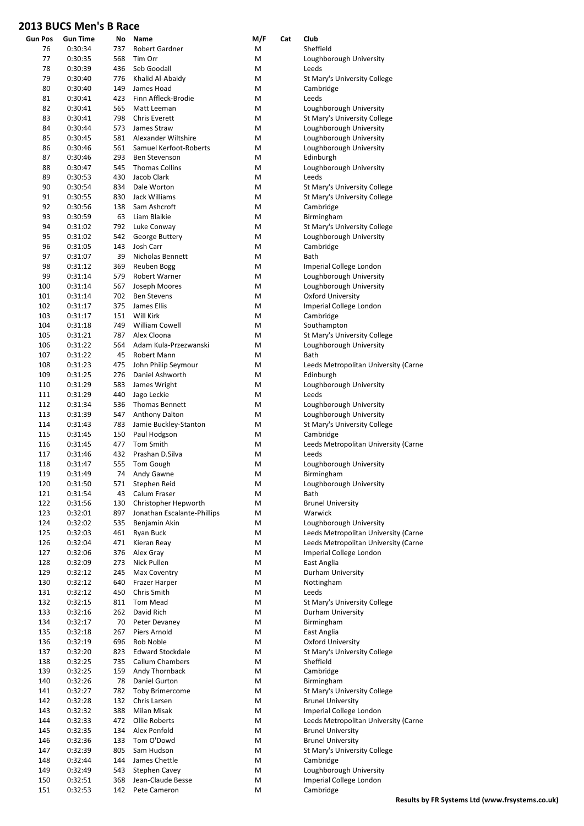| <b>Gun Pos</b> | <b>Gun Time</b> | No  | Name                        | M/F | Cat | Club                                 |
|----------------|-----------------|-----|-----------------------------|-----|-----|--------------------------------------|
| 76             | 0:30:34         | 737 | Robert Gardner              | М   |     | Sheffield                            |
| 77             | 0:30:35         | 568 | Tim Orr                     | М   |     | Loughborough University              |
| 78             | 0:30:39         | 436 | Seb Goodall                 | M   |     | Leeds                                |
| 79             | 0:30:40         | 776 | Khalid Al-Abaidy            | M   |     | St Mary's University College         |
| 80             | 0:30:40         | 149 | James Hoad                  | M   |     | Cambridge                            |
| 81             | 0:30:41         | 423 | Finn Affleck-Brodie         | M   |     | Leeds                                |
| 82             | 0:30:41         | 565 | Matt Leeman                 | M   |     | Loughborough University              |
| 83             | 0:30:41         | 798 | <b>Chris Everett</b>        | M   |     | St Mary's University College         |
| 84             | 0:30:44         | 573 | James Straw                 | M   |     | Loughborough University              |
| 85             | 0:30:45         | 581 | Alexander Wiltshire         | M   |     | Loughborough University              |
| 86             | 0:30:46         | 561 | Samuel Kerfoot-Roberts      | M   |     | Loughborough University              |
| 87             | 0:30:46         | 293 | Ben Stevenson               | M   |     | Edinburgh                            |
| 88             | 0:30:47         | 545 | <b>Thomas Collins</b>       | M   |     | Loughborough University              |
| 89             | 0:30:53         | 430 | Jacob Clark                 | M   |     | Leeds                                |
| 90             | 0:30:54         | 834 | Dale Worton                 | M   |     | St Mary's University College         |
| 91             | 0:30:55         | 830 | Jack Williams               | M   |     | St Mary's University College         |
| 92             | 0:30:56         | 138 | Sam Ashcroft                | M   |     | Cambridge                            |
| 93             | 0:30:59         | 63  | Liam Blaikie                | M   |     | Birmingham                           |
| 94             | 0:31:02         | 792 | Luke Conway                 | M   |     | St Mary's University College         |
| 95             | 0:31:02         | 542 | George Buttery              | M   |     | Loughborough University              |
| 96             | 0:31:05         | 143 | Josh Carr                   | M   |     | Cambridge                            |
| 97             | 0:31:07         | 39  | Nicholas Bennett            | M   |     | Bath                                 |
| 98             | 0:31:12         | 369 | Reuben Bogg                 | M   |     | Imperial College London              |
| 99             | 0:31:14         | 579 | Robert Warner               | M   |     | Loughborough University              |
| 100            | 0:31:14         | 567 | Joseph Moores               | M   |     | Loughborough University              |
| 101            | 0:31:14         | 702 | <b>Ben Stevens</b>          | M   |     | <b>Oxford University</b>             |
| 102            | 0:31:17         | 375 | James Ellis                 | M   |     | Imperial College London              |
| 103            | 0:31:17         | 151 | Will Kirk                   | M   |     | Cambridge                            |
| 104            | 0:31:18         | 749 | William Cowell              | М   |     | Southampton                          |
| 105            | 0:31:21         | 787 | Alex Cloona                 | M   |     | St Mary's University College         |
| 106            | 0:31:22         | 564 | Adam Kula-Przezwanski       | M   |     | Loughborough University              |
| 107            | 0:31:22         | 45  | Robert Mann                 | M   |     | Bath                                 |
| 108            | 0:31:23         | 475 | John Philip Seymour         | M   |     | Leeds Metropolitan University (Carne |
| 109            | 0:31:25         | 276 | Daniel Ashworth             | M   |     | Edinburgh                            |
| 110            | 0:31:29         | 583 |                             | М   |     | Loughborough University              |
|                |                 | 440 | James Wright                | M   |     | Leeds                                |
| 111            | 0:31:29         |     | Jago Leckie                 |     |     |                                      |
| 112            | 0:31:34         | 536 | <b>Thomas Bennett</b>       | M   |     | Loughborough University              |
| 113            | 0:31:39         | 547 | Anthony Dalton              | M   |     | Loughborough University              |
| 114            | 0:31:43         | 783 | Jamie Buckley-Stanton       | M   |     | St Mary's University College         |
| 115            | 0:31:45         | 150 | Paul Hodgson                | M   |     | Cambridge                            |
| 116            | 0:31:45         | 477 | Tom Smith                   | M   |     | Leeds Metropolitan University (Carne |
| 117            | 0:31:46         | 432 | Prashan D.Silva             | M   |     | Leeds                                |
| 118            | 0:31:47         | 555 | <b>Tom Gough</b>            | M   |     | Loughborough University              |
| 119            | 0:31:49         | 74  | Andy Gawne                  | M   |     | Birmingham                           |
| 120            | 0:31:50         | 571 | Stephen Reid                | M   |     | Loughborough University              |
| 121            | 0:31:54         | 43  | Calum Fraser                | М   |     | Bath                                 |
| 122            | 0:31:56         | 130 | Christopher Hepworth        | М   |     | <b>Brunel University</b>             |
| 123            | 0:32:01         | 897 | Jonathan Escalante-Phillips | M   |     | Warwick                              |
| 124            | 0:32:02         | 535 | Benjamin Akin               | М   |     | Loughborough University              |
| 125            | 0:32:03         | 461 | Ryan Buck                   | M   |     | Leeds Metropolitan University (Carne |
| 126            | 0:32:04         | 471 | Kieran Reay                 | M   |     | Leeds Metropolitan University (Carne |
| 127            | 0:32:06         | 376 | Alex Gray                   | M   |     | Imperial College London              |
| 128            | 0:32:09         | 273 | Nick Pullen                 | M   |     | East Anglia                          |
| 129            | 0:32:12         | 245 | Max Coventry                | М   |     | Durham University                    |
| 130            | 0:32:12         | 640 | Frazer Harper               | М   |     | Nottingham                           |
| 131            | 0:32:12         | 450 | Chris Smith                 | М   |     | Leeds                                |
| 132            | 0:32:15         | 811 | Tom Mead                    | M   |     | St Mary's University College         |
| 133            | 0:32:16         | 262 | David Rich                  | M   |     | Durham University                    |
| 134            | 0:32:17         | 70  | Peter Devaney               | M   |     | Birmingham                           |
| 135            | 0:32:18         | 267 | Piers Arnold                | м   |     | East Anglia                          |
| 136            | 0:32:19         | 696 | Rob Noble                   | М   |     | <b>Oxford University</b>             |
| 137            | 0:32:20         | 823 | <b>Edward Stockdale</b>     | M   |     | St Mary's University College         |
| 138            | 0:32:25         | 735 | Callum Chambers             | М   |     | Sheffield                            |
| 139            | 0:32:25         | 159 | Andy Thornback              | M   |     | Cambridge                            |
| 140            | 0:32:26         | 78  | Daniel Gurton               | М   |     | Birmingham                           |
| 141            | 0:32:27         | 782 | <b>Toby Brimercome</b>      | м   |     | St Mary's University College         |
| 142            | 0:32:28         | 132 | Chris Larsen                | M   |     | <b>Brunel University</b>             |
| 143            | 0:32:32         | 388 | Milan Misak                 | М   |     | Imperial College London              |
| 144            | 0:32:33         | 472 | Ollie Roberts               | М   |     | Leeds Metropolitan University (Carne |
| 145            | 0:32:35         | 134 | Alex Penfold                | M   |     | <b>Brunel University</b>             |
| 146            | 0:32:36         | 133 | Tom O'Dowd                  | M   |     | <b>Brunel University</b>             |
| 147            | 0:32:39         | 805 | Sam Hudson                  | M   |     | St Mary's University College         |
| 148            | 0:32:44         | 144 | James Chettle               | M   |     | Cambridge                            |
| 149            | 0:32:49         | 543 | Stephen Cavey               | M   |     | Loughborough University              |
| 150            | 0:32:51         | 368 | Jean-Claude Besse           | M   |     | Imperial College London              |
| 151            | 0:32:53         | 142 | Pete Cameron                | M   |     | Cambridge                            |
|                |                 |     |                             |     |     |                                      |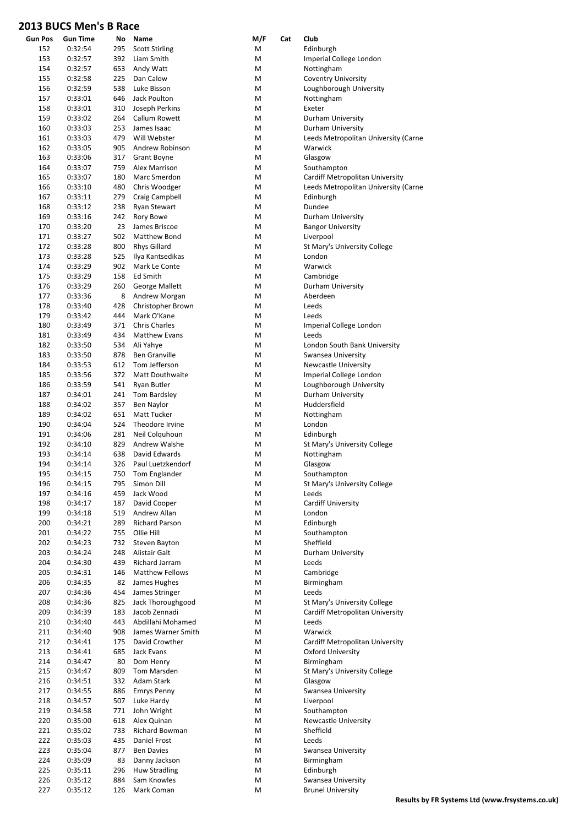| <b>Gun Pos</b> | <b>Gun Time</b> | No  | Name                           | M/F | Cat | Club                                 |
|----------------|-----------------|-----|--------------------------------|-----|-----|--------------------------------------|
| 152            | 0:32:54         | 295 | <b>Scott Stirling</b>          | М   |     | Edinburgh                            |
| 153            | 0:32:57         | 392 | Liam Smith                     | м   |     | Imperial College London              |
| 154            | 0:32:57         | 653 | Andy Watt                      | Μ   |     | Nottingham                           |
| 155            | 0:32:58         | 225 | Dan Calow                      | Μ   |     | <b>Coventry University</b>           |
| 156            | 0:32:59         | 538 | Luke Bisson                    | М   |     | Loughborough University              |
| 157            | 0:33:01         | 646 | Jack Poulton                   | М   |     | Nottingham                           |
| 158            | 0:33:01         | 310 | Joseph Perkins                 | М   |     | Exeter                               |
| 159            | 0:33:02         | 264 | Callum Rowett                  | М   |     | Durham University                    |
| 160            | 0:33:03         | 253 | James Isaac                    | Μ   |     | Durham University                    |
| 161            | 0:33:03         | 479 | Will Webster                   | М   |     | Leeds Metropolitan University (Carne |
| 162            | 0:33:05         | 905 | Andrew Robinson                | Μ   |     | Warwick                              |
| 163            | 0:33:06         | 317 | <b>Grant Boyne</b>             | М   |     | Glasgow                              |
| 164            | 0:33:07         | 759 | Alex Marrison                  | М   |     | Southampton                          |
| 165            | 0:33:07         | 180 | Marc Smerdon                   | Μ   |     | Cardiff Metropolitan University      |
| 166            | 0:33:10         | 480 | Chris Woodger                  | М   |     | Leeds Metropolitan University (Carne |
| 167            | 0:33:11         | 279 | Craig Campbell                 | М   |     | Edinburgh                            |
| 168            | 0:33:12         | 238 | <b>Ryan Stewart</b>            | Μ   |     | Dundee                               |
| 169            | 0:33:16         | 242 | Rory Bowe                      | М   |     | Durham University                    |
| 170            | 0:33:20         | 23  | James Briscoe                  | М   |     | <b>Bangor University</b>             |
| 171            | 0:33:27         | 502 | Matthew Bond                   | Μ   |     | Liverpool                            |
| 172            | 0:33:28         | 800 | <b>Rhys Gillard</b>            | М   |     | St Mary's University College         |
| 173            | 0:33:28         | 525 | Ilya Kantsedikas               | М   |     | London                               |
| 174            | 0:33:29         | 902 | Mark Le Conte                  | Μ   |     | Warwick                              |
| 175            | 0:33:29         | 158 | Ed Smith                       | М   |     | Cambridge                            |
| 176            | 0:33:29         | 260 | <b>George Mallett</b>          | М   |     | Durham University                    |
| 177            | 0:33:36         | 8   | Andrew Morgan                  | М   |     | Aberdeen                             |
| 178            | 0:33:40         | 428 | Christopher Brown              | М   |     | Leeds                                |
| 179            | 0:33:42         | 444 | Mark O'Kane                    | М   |     | Leeds                                |
| 180            | 0:33:49         | 371 | <b>Chris Charles</b>           | М   |     |                                      |
|                |                 | 434 |                                |     |     | Imperial College London              |
| 181            | 0:33:49         |     | <b>Matthew Evans</b>           | Μ   |     | Leeds                                |
| 182            | 0:33:50         | 534 | Ali Yahye                      | М   |     | London South Bank University         |
| 183            | 0:33:50         | 878 | Ben Granville<br>Tom Jefferson | М   |     | Swansea University                   |
| 184            | 0:33:53         | 612 |                                | М   |     | <b>Newcastle University</b>          |
| 185            | 0:33:56         | 372 | Matt Douthwaite                | Μ   |     | Imperial College London              |
| 186            | 0:33:59         | 541 | Ryan Butler                    | М   |     | Loughborough University              |
| 187            | 0:34:01         | 241 | Tom Bardsley                   | М   |     | Durham University                    |
| 188            | 0:34:02         | 357 | <b>Ben Naylor</b>              | М   |     | Huddersfield                         |
| 189            | 0:34:02         | 651 | <b>Matt Tucker</b>             | М   |     | Nottingham                           |
| 190            | 0:34:04         | 524 | Theodore Irvine                | М   |     | London                               |
| 191            | 0:34:06         | 281 | Neil Colquhoun                 | м   |     | Edinburgh                            |
| 192            | 0:34:10         | 829 | Andrew Walshe                  | Μ   |     | St Mary's University College         |
| 193            | 0:34:14         | 638 | David Edwards                  | М   |     | Nottingham                           |
| 194            | 0:34:14         | 326 | Paul Luetzkendorf              | М   |     | Glasgow                              |
| 195            | 0:34:15         | 750 | Tom Englander                  | M   |     | Southampton                          |
| 196            | 0:34:15         | 795 | Simon Dill                     | Μ   |     | St Mary's University College         |
| 197            | 0:34:16         | 459 | Jack Wood                      | Μ   |     | Leeds                                |
| 198            | 0:34:17         | 187 | David Cooper                   | Μ   |     | Cardiff University                   |
| 199            | 0:34:18         | 519 | Andrew Allan                   | М   |     | London                               |
| 200            | 0:34:21         | 289 | Richard Parson                 | Μ   |     | Edinburgh                            |
| 201            | 0:34:22         | 755 | Ollie Hill                     | Μ   |     | Southampton                          |
| 202            | 0:34:23         | 732 | Steven Bayton                  | Μ   |     | Sheffield                            |
| 203            | 0:34:24         | 248 | Alistair Galt                  | Μ   |     | Durham University                    |
| 204            | 0:34:30         | 439 | Richard Jarram                 | Μ   |     | Leeds                                |
| 205            | 0:34:31         | 146 | Matthew Fellows                | Μ   |     | Cambridge                            |
| 206            | 0:34:35         | 82  | James Hughes                   | Μ   |     | Birmingham                           |
| 207            | 0:34:36         | 454 | James Stringer                 | Μ   |     | Leeds                                |
| 208            | 0:34:36         | 825 | Jack Thoroughgood              | Μ   |     | St Mary's University College         |
| 209            | 0:34:39         | 183 | Jacob Zennadi                  | Μ   |     | Cardiff Metropolitan University      |
| 210            | 0:34:40         | 443 | Abdillahi Mohamed              | М   |     | Leeds                                |
| 211            | 0:34:40         | 908 | James Warner Smith             | Μ   |     | Warwick                              |
| 212            | 0:34:41         | 175 | David Crowther                 | Μ   |     | Cardiff Metropolitan University      |
| 213            | 0:34:41         | 685 | Jack Evans                     | Μ   |     | <b>Oxford University</b>             |
| 214            | 0:34:47         | 80  | Dom Henry                      | Μ   |     | Birmingham                           |
| 215            | 0:34:47         | 809 | Tom Marsden                    | Μ   |     | St Mary's University College         |
| 216            | 0:34:51         | 332 | Adam Stark                     | Μ   |     | Glasgow                              |
| 217            | 0:34:55         | 886 | <b>Emrys Penny</b>             | Μ   |     | Swansea University                   |
| 218            | 0:34:57         | 507 | Luke Hardy                     | Μ   |     | Liverpool                            |
| 219            | 0:34:58         | 771 | John Wright                    | Μ   |     | Southampton                          |
| 220            | 0:35:00         | 618 | Alex Quinan                    | Μ   |     | <b>Newcastle University</b>          |
| 221            | 0:35:02         | 733 | Richard Bowman                 | М   |     | Sheffield                            |
| 222            | 0:35:03         | 435 | Daniel Frost                   | Μ   |     | Leeds                                |
| 223            | 0:35:04         | 877 | <b>Ben Davies</b>              | М   |     | Swansea University                   |
| 224            | 0:35:09         | 83  | Danny Jackson                  | М   |     | Birmingham                           |
| 225            | 0:35:11         | 296 | Huw Stradling                  | Μ   |     | Edinburgh                            |
| 226            | 0:35:12         | 884 | Sam Knowles                    | Μ   |     | Swansea University                   |
| 227            | 0:35:12         | 126 | Mark Coman                     | M   |     | <b>Brunel University</b>             |
|                |                 |     |                                |     |     |                                      |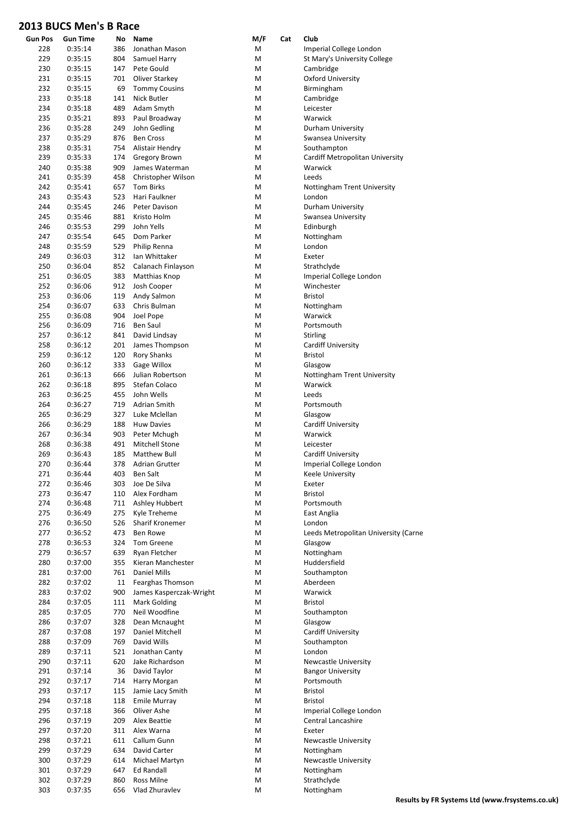| <b>Gun Pos</b> | <b>Gun Time</b> | No  | Name                              | M/F    | Cat | Club                                 |
|----------------|-----------------|-----|-----------------------------------|--------|-----|--------------------------------------|
| 228            | 0:35:14         | 386 | Jonathan Mason                    | М      |     | Imperial College London              |
| 229            | 0:35:15         | 804 | Samuel Harry                      | Μ      |     | St Mary's University College         |
| 230            | 0:35:15         | 147 | Pete Gould                        | Μ      |     | Cambridge                            |
| 231            | 0:35:15         | 701 | Oliver Starkey                    | Μ      |     | Oxford University                    |
| 232            | 0:35:15         | 69  | <b>Tommy Cousins</b>              | Μ      |     | Birmingham                           |
| 233            | 0:35:18         | 141 | Nick Butler                       | Μ      |     | Cambridge                            |
| 234            | 0:35:18         | 489 | Adam Smyth                        | Μ      |     | Leicester                            |
| 235            | 0:35:21         | 893 | Paul Broadway                     | Μ      |     | Warwick                              |
| 236            | 0:35:28         | 249 | John Gedling                      | Μ      |     | Durham University                    |
| 237            | 0:35:29         | 876 | <b>Ben Cross</b>                  | Μ      |     | Swansea University                   |
| 238            | 0:35:31         | 754 | Alistair Hendry                   | Μ      |     | Southampton                          |
| 239            | 0:35:33         | 174 | Gregory Brown                     | Μ      |     | Cardiff Metropolitan University      |
| 240            | 0:35:38         | 909 | James Waterman                    | Μ      |     | Warwick                              |
| 241            | 0:35:39         | 458 | Christopher Wilson                | Μ      |     | Leeds                                |
| 242            | 0:35:41         | 657 | Tom Birks                         | Μ      |     | Nottingham Trent University          |
| 243            | 0:35:43         | 523 | Hari Faulkner                     | Μ      |     | London                               |
| 244            | 0:35:45         | 246 | Peter Davison                     | Μ      |     | Durham University                    |
| 245            | 0:35:46         | 881 | Kristo Holm                       | Μ      |     | Swansea University                   |
| 246            | 0:35:53         | 299 | John Yells                        | Μ      |     | Edinburgh                            |
| 247            | 0:35:54         | 645 | Dom Parker                        | Μ      |     | Nottingham                           |
| 248            | 0:35:59         | 529 | Philip Renna                      | Μ      |     | London                               |
| 249            | 0:36:03         | 312 | Ian Whittaker                     | Μ      |     | Exeter                               |
| 250            | 0:36:04         | 852 | Calanach Finlayson                | Μ      |     | Strathclyde                          |
| 251            | 0:36:05         | 383 | Matthias Knop                     | Μ      |     | Imperial College London              |
| 252            | 0:36:06         | 912 | Josh Cooper                       | Μ      |     | Winchester                           |
| 253            | 0:36:06         | 119 | Andy Salmon                       | Μ      |     | <b>Bristol</b>                       |
| 254            | 0:36:07         | 633 | Chris Bulman                      | Μ      |     | Nottingham                           |
| 255            | 0:36:08         | 904 | Joel Pope                         | Μ      |     | Warwick                              |
| 256            | 0:36:09         | 716 | Ben Saul                          | Μ      |     | Portsmouth                           |
| 257            | 0:36:12         | 841 | David Lindsay                     | М      |     | <b>Stirling</b>                      |
| 258            | 0:36:12         | 201 | James Thompson                    | Μ      |     | <b>Cardiff University</b>            |
| 259            | 0:36:12         | 120 | <b>Rory Shanks</b>                | Μ      |     | <b>Bristol</b>                       |
| 260            | 0:36:12         | 333 | Gage Willox                       | М      |     | Glasgow                              |
| 261            | 0:36:13         | 666 | Julian Robertson                  | Μ      |     | Nottingham Trent University          |
| 262            | 0:36:18         | 895 | Stefan Colaco                     | Μ      |     | Warwick                              |
| 263            | 0:36:25         | 455 | John Wells                        | Μ      |     | Leeds                                |
| 264            | 0:36:27         | 719 | Adrian Smith                      | Μ      |     | Portsmouth                           |
| 265            | 0:36:29         | 327 | Luke Mclellan                     | Μ      |     |                                      |
|                | 0:36:29         | 188 |                                   |        |     | Glasgow                              |
| 266<br>267     | 0:36:34         | 903 | <b>Huw Davies</b><br>Peter Mchugh | Μ<br>Μ |     | <b>Cardiff University</b><br>Warwick |
| 268            |                 | 491 |                                   |        |     |                                      |
|                | 0:36:38         |     | <b>Mitchell Stone</b>             | Μ      |     | Leicester                            |
| 269            | 0:36:43         | 185 | Matthew Bull                      | М      |     | <b>Cardiff University</b>            |
| 270            | 0:36:44         | 378 | <b>Adrian Grutter</b>             | Μ      |     | Imperial College London              |
| 271            | 0:36:44         | 403 | Ben Salt                          | M      |     | Keele University                     |
| 272            | 0:36:46         | 303 | Joe De Silva                      | Μ      |     | Exeter                               |
| 273            | 0:36:47         | 110 | Alex Fordham                      | M      |     | Bristol                              |
| 274            | 0:36:48         | 711 | Ashley Hubbert                    | Μ      |     | Portsmouth                           |
| 275            | 0:36:49         | 275 | Kyle Treheme                      | M      |     | East Anglia                          |
| 276            | 0:36:50         | 526 | Sharif Kronemer                   | Μ      |     | London                               |
| 277            | 0:36:52         | 473 | Ben Rowe                          | M      |     | Leeds Metropolitan University (Carne |
| 278            | 0:36:53         | 324 | Tom Greene                        | Μ      |     | Glasgow                              |
| 279            | 0:36:57         | 639 | Ryan Fletcher                     | Μ      |     | Nottingham                           |
| 280            | 0:37:00         | 355 | Kieran Manchester                 | Μ      |     | Huddersfield                         |
| 281            | 0:37:00         | 761 | Daniel Mills                      | M      |     | Southampton                          |
| 282            | 0:37:02         | 11  | Fearghas Thomson                  | Μ      |     | Aberdeen                             |
| 283            | 0:37:02         | 900 | James Kasperczak-Wright           | Μ      |     | Warwick                              |
| 284            | 0:37:05         | 111 | Mark Golding                      | Μ      |     | Bristol                              |
| 285            | 0:37:05         | 770 | Neil Woodfine                     | Μ      |     | Southampton                          |
| 286            | 0:37:07         | 328 | Dean Mcnaught                     | Μ      |     | Glasgow                              |
| 287            | 0:37:08         | 197 | Daniel Mitchell                   | Μ      |     | <b>Cardiff University</b>            |
| 288            | 0:37:09         | 769 | David Wills                       | Μ      |     | Southampton                          |
| 289            | 0:37:11         | 521 | Jonathan Canty                    | M      |     | London                               |
| 290            | 0:37:11         | 620 | Jake Richardson                   | Μ      |     | <b>Newcastle University</b>          |
| 291            | 0:37:14         | 36  | David Taylor                      | Μ      |     | <b>Bangor University</b>             |
| 292            | 0:37:17         | 714 | Harry Morgan                      | Μ      |     | Portsmouth                           |
| 293            | 0:37:17         | 115 | Jamie Lacy Smith                  | Μ      |     | Bristol                              |
| 294            | 0:37:18         | 118 | <b>Emile Murray</b>               | M      |     | Bristol                              |
| 295            | 0:37:18         | 366 | Oliver Ashe                       | Μ      |     | Imperial College London              |
| 296            | 0:37:19         | 209 | Alex Beattie                      | M      |     | Central Lancashire                   |
| 297            | 0:37:20         | 311 | Alex Warna                        | Μ      |     | Exeter                               |
| 298            | 0:37:21         | 611 | Callum Gunn                       | Μ      |     | <b>Newcastle University</b>          |
| 299            | 0:37:29         | 634 | David Carter                      | Μ      |     | Nottingham                           |
| 300            | 0:37:29         | 614 | Michael Martyn                    | M      |     | <b>Newcastle University</b>          |
| 301            | 0:37:29         | 647 | <b>Ed Randall</b>                 | Μ      |     | Nottingham                           |
| 302            | 0:37:29         | 860 | Ross Milne                        | Μ      |     | Strathclyde                          |
| 303            | 0:37:35         | 656 | Vlad Zhuravlev                    | M      |     | Nottingham                           |
|                |                 |     |                                   |        |     |                                      |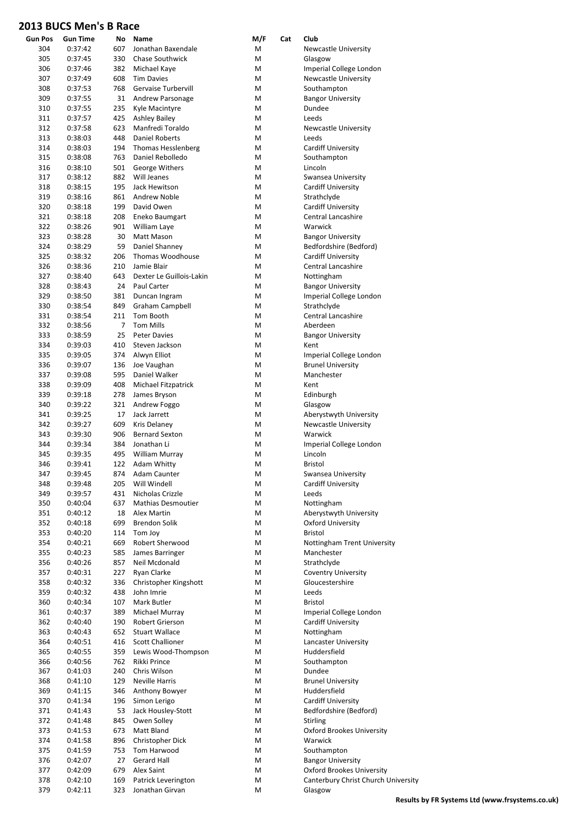| <b>Gun Pos</b> | <b>Gun Time</b> | No  | Name                      | M/F | Cat | Club                                |
|----------------|-----------------|-----|---------------------------|-----|-----|-------------------------------------|
| 304            | 0:37:42         | 607 | Jonathan Baxendale        | М   |     | <b>Newcastle University</b>         |
| 305            | 0:37:45         | 330 | Chase Southwick           | M   |     | Glasgow                             |
| 306            | 0:37:46         | 382 |                           | M   |     | Imperial College London             |
|                |                 |     | Michael Kaye              |     |     |                                     |
| 307            | 0:37:49         | 608 | <b>Tim Davies</b>         | М   |     | <b>Newcastle University</b>         |
| 308            | 0:37:53         | 768 | Gervaise Turbervill       | М   |     | Southampton                         |
| 309            | 0:37:55         | 31  | Andrew Parsonage          | M   |     | <b>Bangor University</b>            |
| 310            | 0:37:55         | 235 | Kyle Macintyre            | М   |     | Dundee                              |
| 311            | 0:37:57         | 425 | <b>Ashley Bailey</b>      | М   |     | Leeds                               |
| 312            | 0:37:58         | 623 | Manfredi Toraldo          | M   |     | <b>Newcastle University</b>         |
| 313            | 0:38:03         | 448 | Daniel Roberts            | M   |     | Leeds                               |
| 314            | 0:38:03         | 194 | <b>Thomas Hesslenberg</b> | M   |     | <b>Cardiff University</b>           |
| 315            | 0:38:08         | 763 | Daniel Rebolledo          | M   |     | Southampton                         |
| 316            | 0:38:10         | 501 | George Withers            | M   |     | Lincoln                             |
| 317            | 0:38:12         | 882 | Will Jeanes               | M   |     | Swansea University                  |
| 318            | 0:38:15         | 195 | Jack Hewitson             | М   |     | Cardiff University                  |
|                |                 |     |                           |     |     |                                     |
| 319            | 0:38:16         | 861 | Andrew Noble              | M   |     | Strathclyde                         |
| 320            | 0:38:18         | 199 | David Owen                | M   |     | <b>Cardiff University</b>           |
| 321            | 0:38:18         | 208 | Eneko Baumgart            | М   |     | Central Lancashire                  |
| 322            | 0:38:26         | 901 | William Laye              | М   |     | Warwick                             |
| 323            | 0:38:28         | 30  | Matt Mason                | M   |     | <b>Bangor University</b>            |
| 324            | 0:38:29         | 59  | Daniel Shanney            | M   |     | Bedfordshire (Bedford)              |
| 325            | 0:38:32         | 206 | Thomas Woodhouse          | M   |     | <b>Cardiff University</b>           |
| 326            | 0:38:36         | 210 | Jamie Blair               | M   |     | <b>Central Lancashire</b>           |
| 327            | 0:38:40         | 643 | Dexter Le Guillois-Lakin  | M   |     | Nottingham                          |
| 328            | 0:38:43         | 24  | Paul Carter               | M   |     | <b>Bangor University</b>            |
| 329            | 0:38:50         | 381 |                           | М   |     | Imperial College London             |
| 330            | 0:38:54         |     | Duncan Ingram             |     |     |                                     |
|                |                 | 849 | Graham Campbell           | M   |     | Strathclyde                         |
| 331            | 0:38:54         | 211 | Tom Booth                 | M   |     | <b>Central Lancashire</b>           |
| 332            | 0:38:56         | 7   | <b>Tom Mills</b>          | М   |     | Aberdeen                            |
| 333            | 0:38:59         | 25  | <b>Peter Davies</b>       | M   |     | <b>Bangor University</b>            |
| 334            | 0:39:03         | 410 | Steven Jackson            | M   |     | Kent                                |
| 335            | 0:39:05         | 374 | Alwyn Elliot              | M   |     | Imperial College London             |
| 336            | 0:39:07         | 136 | Joe Vaughan               | M   |     | <b>Brunel University</b>            |
| 337            | 0:39:08         | 595 | Daniel Walker             | M   |     | Manchester                          |
| 338            | 0:39:09         | 408 | Michael Fitzpatrick       | М   |     | Kent                                |
| 339            | 0:39:18         | 278 | James Bryson              | М   |     | Edinburgh                           |
| 340            | 0:39:22         | 321 | Andrew Foggo              | M   |     | Glasgow                             |
| 341            | 0:39:25         | 17  | Jack Jarrett              | М   |     | Aberystwyth University              |
|                |                 |     |                           |     |     |                                     |
| 342            | 0:39:27         | 609 | <b>Kris Delanev</b>       | M   |     | <b>Newcastle University</b>         |
| 343            | 0:39:30         | 906 | <b>Bernard Sexton</b>     | M   |     | Warwick                             |
| 344            | 0:39:34         | 384 | Jonathan Li               | M   |     | Imperial College London             |
| 345            | 0:39:35         | 495 | William Murray            | M   |     | Lincoln                             |
| 346            | 0:39:41         | 122 | Adam Whitty               | M   |     | <b>Bristol</b>                      |
| 347            | 0:39:45         | 874 | Adam Caunter              | M   |     | Swansea University                  |
| 348            | 0:39:48         | 205 | Will Windell              | M   |     | <b>Cardiff University</b>           |
| 349            | 0:39:57         | 431 | Nicholas Crizzle          | M   |     | Leeds                               |
| 350            | 0:40:04         | 637 | <b>Mathias Desmoutier</b> | M   |     | Nottingham                          |
| 351            | 0:40:12         | 18  | Alex Martin               | M   |     | Aberystwyth University              |
| 352            | 0:40:18         | 699 | <b>Brendon Solik</b>      | M   |     | <b>Oxford University</b>            |
|                |                 |     | Tom Joy                   |     |     | Bristol                             |
| 353            | 0:40:20         | 114 |                           | M   |     |                                     |
| 354            | 0:40:21         | 669 | Robert Sherwood           | M   |     | Nottingham Trent University         |
| 355            | 0:40:23         | 585 | James Barringer           | М   |     | Manchester                          |
| 356            | 0:40:26         | 857 | Neil Mcdonald             | M   |     | Strathclyde                         |
| 357            | 0:40:31         | 227 | Ryan Clarke               | M   |     | <b>Coventry University</b>          |
| 358            | 0:40:32         | 336 | Christopher Kingshott     | M   |     | Gloucestershire                     |
| 359            | 0:40:32         | 438 | John Imrie                | M   |     | Leeds                               |
| 360            | 0:40:34         | 107 | Mark Butler               | М   |     | <b>Bristol</b>                      |
| 361            | 0:40:37         | 389 | Michael Murray            | M   |     | Imperial College London             |
| 362            | 0:40:40         | 190 | Robert Grierson           | M   |     | <b>Cardiff University</b>           |
| 363            | 0:40:43         | 652 | <b>Stuart Wallace</b>     | М   |     | Nottingham                          |
| 364            | 0:40:51         | 416 | <b>Scott Challioner</b>   | M   |     | Lancaster University                |
|                | 0:40:55         | 359 | Lewis Wood-Thompson       | M   |     | Huddersfield                        |
| 365            |                 |     |                           |     |     |                                     |
| 366            | 0:40:56         | 762 | Rikki Prince              | М   |     | Southampton                         |
| 367            | 0:41:03         | 240 | Chris Wilson              | М   |     | Dundee                              |
| 368            | 0:41:10         | 129 | Neville Harris            | M   |     | <b>Brunel University</b>            |
| 369            | 0:41:15         | 346 | Anthony Bowyer            | М   |     | Huddersfield                        |
| 370            | 0:41:34         | 196 | Simon Lerigo              | M   |     | Cardiff University                  |
| 371            | 0:41:43         | 53  | Jack Housley-Stott        | M   |     | Bedfordshire (Bedford)              |
| 372            | 0:41:48         | 845 | Owen Solley               | M   |     | <b>Stirling</b>                     |
| 373            | 0:41:53         | 673 | Matt Bland                | M   |     | <b>Oxford Brookes University</b>    |
| 374            | 0:41:58         | 896 | Christopher Dick          | М   |     | Warwick                             |
| 375            | 0:41:59         | 753 | Tom Harwood               | M   |     | Southampton                         |
|                |                 |     |                           |     |     |                                     |
| 376            | 0:42:07         | 27  | Gerard Hall               | M   |     | <b>Bangor University</b>            |
| 377            | 0:42:09         | 679 | Alex Saint                | М   |     | <b>Oxford Brookes University</b>    |
| 378            | 0:42:10         | 169 | Patrick Leverington       | M   |     | Canterbury Christ Church University |
| 379            | 0:42:11         | 323 | Jonathan Girvan           | M   |     | Glasgow                             |